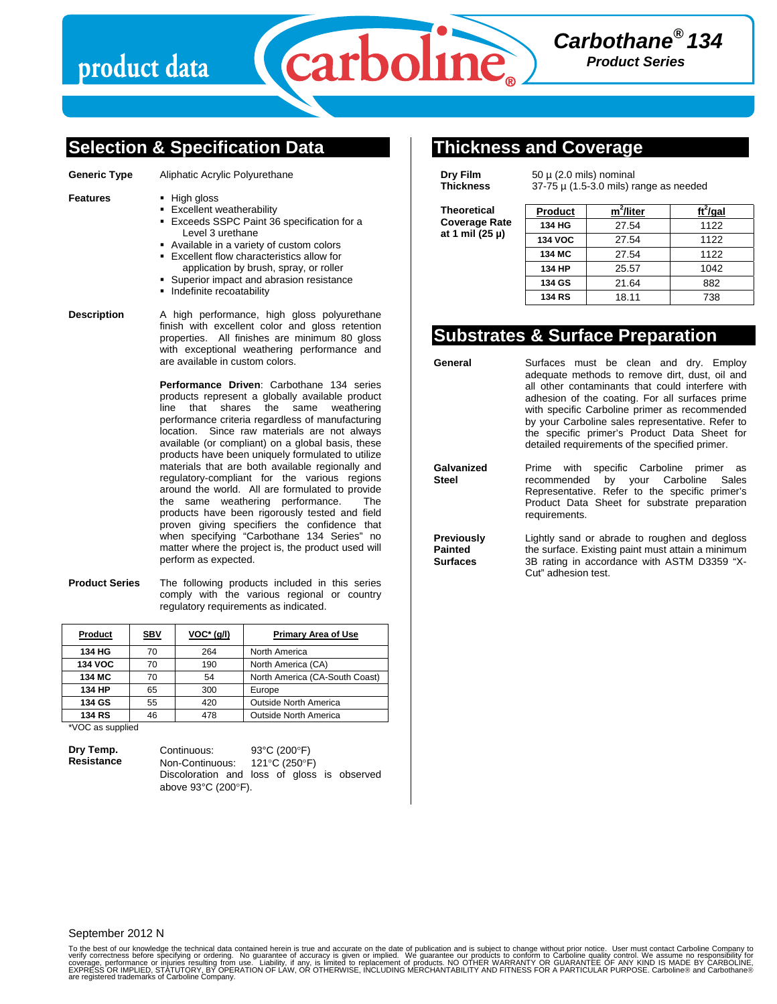

### **Selection & Specification Data**

- **Generic Type** Aliphatic Acrylic Polyurethane
- **Features ·** High gloss
	- **Excellent weatherability**
	- Exceeds SSPC Paint 36 specification for a Level 3 urethane
	- Available in a variety of custom colors
	- Excellent flow characteristics allow for application by brush, spray, or roller
	- Superior impact and abrasion resistance
	- **Indefinite recoatability**

**Description** A high performance, high gloss polyurethane finish with excellent color and gloss retention properties. All finishes are minimum 80 gloss with exceptional weathering performance and are available in custom colors.

> **Performance Driven**: Carbothane 134 series products represent a globally available product line that shares the same weathering performance criteria regardless of manufacturing location. Since raw materials are not always available (or compliant) on a global basis, these products have been uniquely formulated to utilize materials that are both available regionally and regulatory-compliant for the various regions around the world. All are formulated to provide the same weathering performance. The products have been rigorously tested and field proven giving specifiers the confidence that when specifying "Carbothane 134 Series" no matter where the project is, the product used will perform as expected.

**Product Series** The following products included in this series comply with the various regional or country regulatory requirements as indicated.

| Product        | <b>SBV</b> | $VOC^*(q/l)$ | <b>Primary Area of Use</b>     |  |
|----------------|------------|--------------|--------------------------------|--|
| 134 HG         | 70         | 264          | North America                  |  |
| <b>134 VOC</b> | 70         | 190          | North America (CA)             |  |
| 134 MC         | 70         | 54           | North America (CA-South Coast) |  |
| 134 HP         | 65         | 300          | Europe                         |  |
| 134 GS         | 55         | 420          | <b>Outside North America</b>   |  |
| <b>134 RS</b>  | 46         | 478          | <b>Outside North America</b>   |  |

\*VOC as supplied

**Dry Temp. Resistance**  Continuous: 93°C (200°F) Non-Continuous: 121°C (250°F) Discoloration and loss of gloss is observed above 93°C (200°F).

## **Thickness and Coverage**

**Dry Film Thickness** 

**Steel** 

 $50 \mu$  (2.0 mils) nominal 37-75 µ (1.5-3.0 mils) range as needed

**Theoretical Coverage Rate at 1 mil (25 µ)** 

| m <sup>2</sup> /liter | $ft^2$ /gal |  |
|-----------------------|-------------|--|
| 27.54                 | 1122        |  |
| 27.54                 | 1122        |  |
| 27.54                 | 1122        |  |
| 25.57                 | 1042        |  |
| 21.64                 | 882         |  |
| 18.11                 | 738         |  |
|                       |             |  |

# **Substrates & Surface Preparation**

General **Surfaces must be clean and dry. Employ** adequate methods to remove dirt, dust, oil and all other contaminants that could interfere with adhesion of the coating. For all surfaces prime with specific Carboline primer as recommended by your Carboline sales representative. Refer to the specific primer's Product Data Sheet for detailed requirements of the specified primer.

**Galvanized**  Prime with specific Carboline primer as<br>recommended by your Carboline Sales recommended by your Carboline Representative. Refer to the specific primer's Product Data Sheet for substrate preparation requirements.

**Previously Painted Surfaces**  Lightly sand or abrade to roughen and degloss the surface. Existing paint must attain a minimum 3B rating in accordance with ASTM D3359 "X-Cut" adhesion test.

### September 2012 N

To the best of our knowledge the technical data contained herein is true and accurate on the date of publication and is subject to change without prior notice. User must contact Carboline Company to<br>verify correctness befo EXPRÉSS OR IMPLIED, STÀTUTORY, BY OPERATION OF LAW, OR OTHERWISE, INCLUDING MERCHANTABILITY AND FITNESS FOR A PARTICULAR PURPOSE. Carboline® and Carbothane®<br>are registered trademarks of Carboline Company.